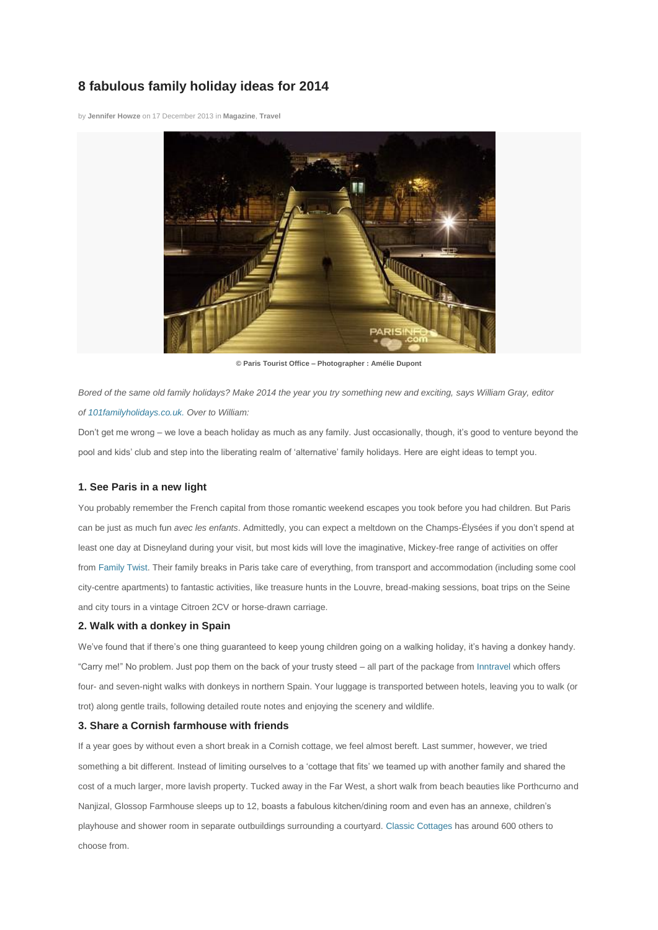# **8 fabulous family holiday ideas for 2014**

by **[Jennifer Howze](http://www.britmums.com/author/jennifer-howze/)** on 17 December 2013 in **[Magazine](http://www.britmums.com/category/magazine/)**, **[Travel](http://www.britmums.com/category/magazine/travel/)**



**© Paris Tourist Office – Photographer : Amélie Dupont**

*Bored of the same old family holidays? Make 2014 the year you try something new and exciting, says William Gray, editor of [101familyholidays.co.uk.](http://www.101holidays.co.uk/family/) Over to William:*

Don't get me wrong – we love a beach holiday as much as any family. Just occasionally, though, it's good to venture beyond the pool and kids' club and step into the liberating realm of 'alternative' family holidays. Here are eight ideas to tempt you.

## **1. See Paris in a new light**

You probably remember the French capital from those romantic weekend escapes you took before you had children. But Paris can be just as much fun *avec les enfants*. Admittedly, you can expect a meltdown on the Champs-Élysées if you don't spend at least one day at Disneyland during your visit, but most kids will love the imaginative, Mickey-free range of activities on offer from [Family Twist.](http://www.101holidays.co.uk/family/paris-with-young-kids/) Their family breaks in Paris take care of everything, from transport and accommodation (including some cool city-centre apartments) to fantastic activities, like treasure hunts in the Louvre, bread-making sessions, boat trips on the Seine and city tours in a vintage Citroen 2CV or horse-drawn carriage.

### **2. Walk with a donkey in Spain**

We've found that if there's one thing guaranteed to keep young children going on a walking holiday, it's having a donkey handy. "Carry me!" No problem. Just pop them on the back of your trusty steed – all part of the package from [Inntravel](http://www.101holidays.co.uk/family/walking-with-donkeys-in-spain/) which offers four- and seven-night walks with donkeys in northern Spain. Your luggage is transported between hotels, leaving you to walk (or trot) along gentle trails, following detailed route notes and enjoying the scenery and wildlife.

#### **3. Share a Cornish farmhouse with friends**

If a year goes by without even a short break in a Cornish cottage, we feel almost bereft. Last summer, however, we tried something a bit different. Instead of limiting ourselves to a 'cottage that fits' we teamed up with another family and shared the cost of a much larger, more lavish property. Tucked away in the Far West, a short walk from beach beauties like Porthcurno and Nanjizal, Glossop Farmhouse sleeps up to 12, boasts a fabulous kitchen/dining room and even has an annexe, children's playhouse and shower room in separate outbuildings surrounding a courtyard. [Classic Cottages](http://www.101holidays.co.uk/family/cottages-cornwall/) has around 600 others to choose from.